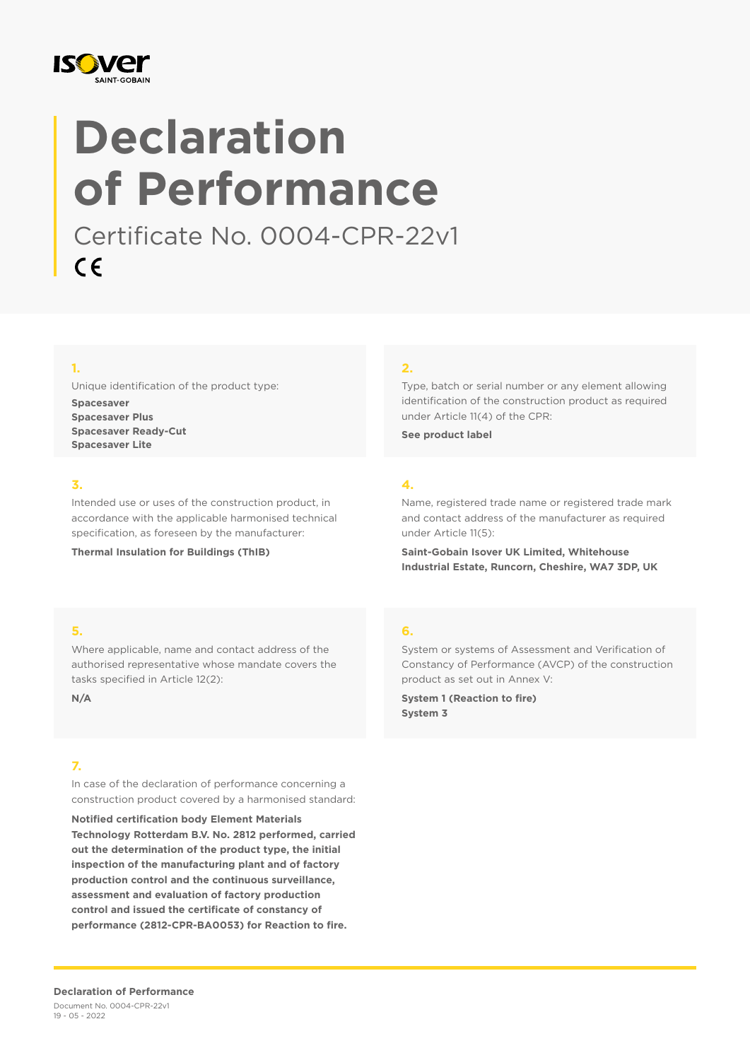

# **Declaration of Performance**

Certificate No. 0004-CPR-22v1  $C \in$ 

## **1.**

Unique identification of the product type:

**Spacesaver Spacesaver Plus Spacesaver Ready-Cut Spacesaver Lite**

## **3.**

Intended use or uses of the construction product, in accordance with the applicable harmonised technical specification, as foreseen by the manufacturer:

**Thermal Insulation for Buildings (ThIB)**

### **2.**

Type, batch or serial number or any element allowing identification of the construction product as required under Article 11(4) of the CPR:

**See product label**

## **4.**

Name, registered trade name or registered trade mark and contact address of the manufacturer as required under Article 11(5):

**Saint-Gobain Isover UK Limited, Whitehouse Industrial Estate, Runcorn, Cheshire, WA7 3DP, UK**

## **5.**

Where applicable, name and contact address of the authorised representative whose mandate covers the tasks specified in Article 12(2):

**N/A**

## **7.**

In case of the declaration of performance concerning a construction product covered by a harmonised standard:

**Notified certification body Element Materials Technology Rotterdam B.V. No. 2812 performed, carried out the determination of the product type, the initial inspection of the manufacturing plant and of factory production control and the continuous surveillance, assessment and evaluation of factory production control and issued the certificate of constancy of performance (2812-CPR-BA0053) for Reaction to fire.**

## **6.**

System or systems of Assessment and Verification of Constancy of Performance (AVCP) of the construction product as set out in Annex V:

**System 1 (Reaction to fire) System 3**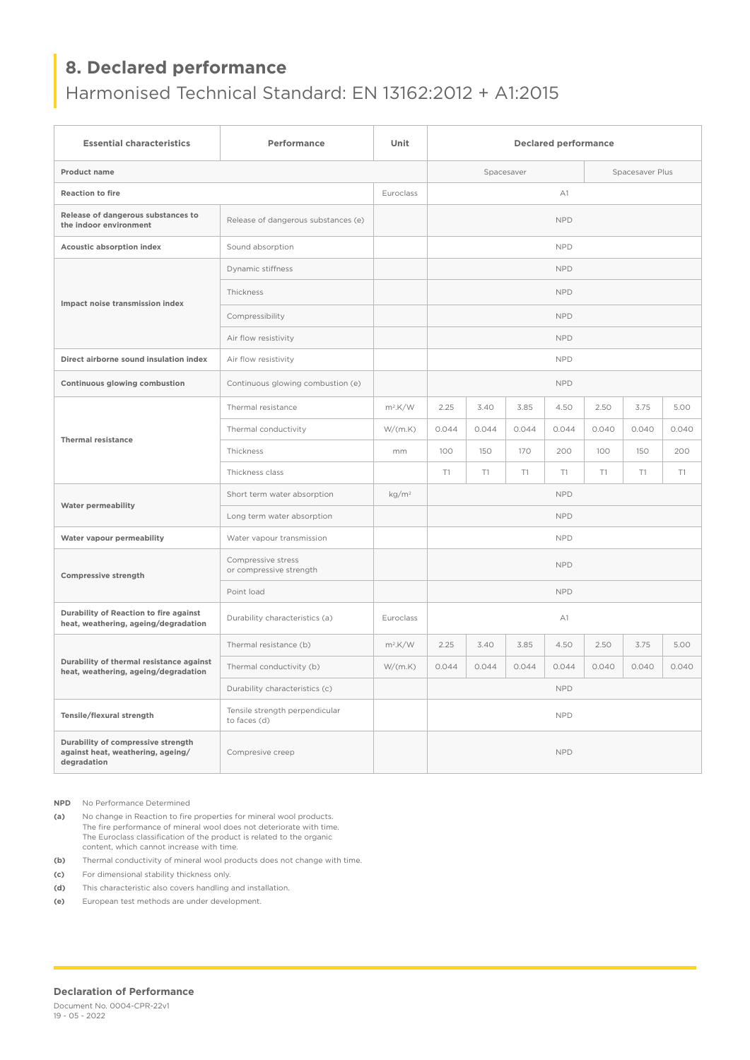# **8. Declared performance**

Harmonised Technical Standard: EN 13162:2012 + A1:2015

| <b>Essential characteristics</b>                                                       | Performance                                    | Unit              | <b>Declared performance</b> |       |       |       |                 |       |       |  |
|----------------------------------------------------------------------------------------|------------------------------------------------|-------------------|-----------------------------|-------|-------|-------|-----------------|-------|-------|--|
| Product name                                                                           |                                                |                   | Spacesaver                  |       |       |       | Spacesaver Plus |       |       |  |
| <b>Reaction to fire</b>                                                                |                                                |                   | A1                          |       |       |       |                 |       |       |  |
| Release of dangerous substances to<br>the indoor environment                           | Release of dangerous substances (e)            |                   | <b>NPD</b>                  |       |       |       |                 |       |       |  |
| <b>Acoustic absorption index</b>                                                       | Sound absorption                               |                   | <b>NPD</b>                  |       |       |       |                 |       |       |  |
| Impact noise transmission index                                                        | Dynamic stiffness                              |                   | <b>NPD</b>                  |       |       |       |                 |       |       |  |
|                                                                                        | Thickness                                      |                   | <b>NPD</b>                  |       |       |       |                 |       |       |  |
|                                                                                        | Compressibility                                |                   | <b>NPD</b>                  |       |       |       |                 |       |       |  |
|                                                                                        | Air flow resistivity                           |                   | <b>NPD</b>                  |       |       |       |                 |       |       |  |
| Direct airborne sound insulation index                                                 | Air flow resistivity                           |                   | <b>NPD</b>                  |       |       |       |                 |       |       |  |
| Continuous glowing combustion                                                          | Continuous glowing combustion (e)              |                   | <b>NPD</b>                  |       |       |       |                 |       |       |  |
|                                                                                        | Thermal resistance                             | $m^2$ .K/W        | 2.25                        | 3.40  | 3.85  | 4.50  | 2.50            | 3.75  | 5.00  |  |
| <b>Thermal resistance</b>                                                              | Thermal conductivity                           | W/(m.K)           | 0.044                       | 0.044 | 0.044 | 0.044 | 0.040           | 0.040 | 0.040 |  |
|                                                                                        | Thickness                                      | mm.               | 100                         | 150   | 170   | 200   | 100             | 150   | 200   |  |
|                                                                                        | Thickness class                                |                   | T1                          | T1    | T1    | T1    | T1              | T1    | T1    |  |
|                                                                                        | Short term water absorption                    | kg/m <sup>2</sup> | <b>NPD</b>                  |       |       |       |                 |       |       |  |
| <b>Water permeability</b>                                                              | Long term water absorption                     |                   | <b>NPD</b>                  |       |       |       |                 |       |       |  |
| Water vapour permeability                                                              | Water vapour transmission                      |                   | <b>NPD</b>                  |       |       |       |                 |       |       |  |
| Compressive strength                                                                   | Compressive stress<br>or compressive strength  |                   | <b>NPD</b>                  |       |       |       |                 |       |       |  |
|                                                                                        | Point load                                     |                   | <b>NPD</b>                  |       |       |       |                 |       |       |  |
| Durability of Reaction to fire against<br>heat, weathering, ageing/degradation         | Durability characteristics (a)                 | Euroclass         | A1                          |       |       |       |                 |       |       |  |
| Durability of thermal resistance against<br>heat, weathering, ageing/degradation       | Thermal resistance (b)                         | $m^2$ .K/W        | 2.25                        | 3.40  | 3.85  | 4.50  | 2.50            | 3.75  | 5.00  |  |
|                                                                                        | Thermal conductivity (b)                       | W/(m.K)           | 0.044                       | 0.044 | 0.044 | 0.044 | 0.040           | 0.040 | 0.040 |  |
|                                                                                        | Durability characteristics (c)                 |                   | <b>NPD</b>                  |       |       |       |                 |       |       |  |
| Tensile/flexural strength                                                              | Tensile strength perpendicular<br>to faces (d) |                   | <b>NPD</b>                  |       |       |       |                 |       |       |  |
| Durability of compressive strength<br>against heat, weathering, ageing/<br>degradation | Compresive creep                               |                   | <b>NPD</b>                  |       |       |       |                 |       |       |  |

**NPD** No Performance Determined

**(a)** No change in Reaction to fire properties for mineral wool products. The fire performance of mineral wool does not deteriorate with time. The Euroclass classification of the product is related to the organic content, which cannot increase with time.

**(b)** Thermal conductivity of mineral wool products does not change with time.

**(c)** For dimensional stability thickness only.

**(d)** This characteristic also covers handling and installation.

**(e)** European test methods are under development.

#### **Declaration of Performance**

Document No. 0004-CPR-22v1 19 - 05 - 2022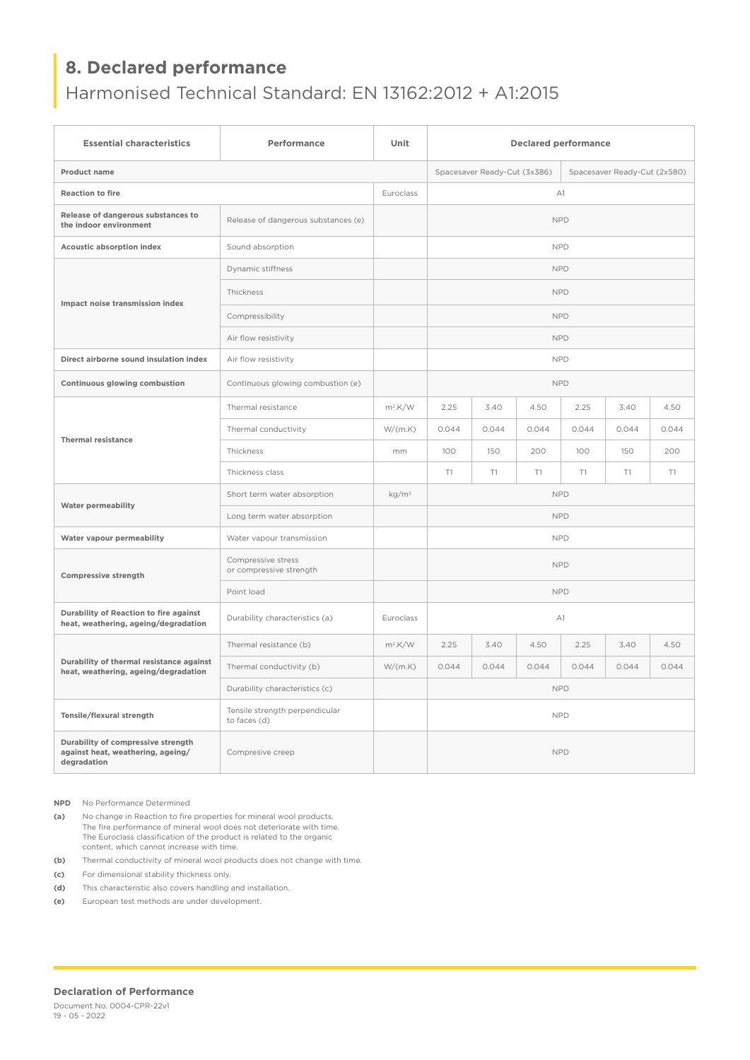## **8. Declared performance**

Harmonised Technical Standard: EN 13162:2012 + A1:2015

| <b>Essential characteristics</b>                                                       | Performance                                    | Unit              | <b>Declared performance</b>                                  |       |       |       |       |       |  |  |
|----------------------------------------------------------------------------------------|------------------------------------------------|-------------------|--------------------------------------------------------------|-------|-------|-------|-------|-------|--|--|
| Product name                                                                           |                                                |                   | Spacesaver Ready-Cut (3x386)<br>Spacesaver Ready-Cut (2x580) |       |       |       |       |       |  |  |
| <b>Reaction to fire</b>                                                                |                                                |                   | A1                                                           |       |       |       |       |       |  |  |
| Release of dangerous substances to<br>the indoor environment                           | Release of dangerous substances (e)            |                   | <b>NPD</b>                                                   |       |       |       |       |       |  |  |
| Acoustic absorption index                                                              | Sound absorption                               |                   | <b>NPD</b>                                                   |       |       |       |       |       |  |  |
| Impact noise transmission index                                                        | Dynamic stiffness                              |                   | <b>NPD</b>                                                   |       |       |       |       |       |  |  |
|                                                                                        | Thickness                                      |                   | <b>NPD</b>                                                   |       |       |       |       |       |  |  |
|                                                                                        | Compressibility                                |                   | <b>NPD</b>                                                   |       |       |       |       |       |  |  |
|                                                                                        | Air flow resistivity                           |                   | <b>NPD</b>                                                   |       |       |       |       |       |  |  |
| Direct airborne sound insulation index                                                 | Air flow resistivity                           |                   | <b>NPD</b>                                                   |       |       |       |       |       |  |  |
| Continuous glowing combustion                                                          | Continuous glowing combustion (e)              |                   | <b>NPD</b>                                                   |       |       |       |       |       |  |  |
| <b>Thermal resistance</b>                                                              | Thermal resistance                             | $m^2$ .K/W        | 2.25                                                         | 3.40  | 4.50  | 2.25  | 3.40  | 4.50  |  |  |
|                                                                                        | Thermal conductivity                           | W/(m.K)           | 0.044                                                        | 0.044 | 0.044 | 0.044 | 0.044 | 0.044 |  |  |
|                                                                                        | Thickness                                      | mm                | 100                                                          | 150   | 200   | 100   | 150   | 200   |  |  |
|                                                                                        | Thickness class                                |                   | T1                                                           | T1    | T1    | T1    | T1    | T1    |  |  |
| <b>Water permeability</b>                                                              | Short term water absorption                    | kg/m <sup>2</sup> | <b>NPD</b>                                                   |       |       |       |       |       |  |  |
|                                                                                        | Long term water absorption                     |                   | <b>NPD</b>                                                   |       |       |       |       |       |  |  |
| Water vapour permeability                                                              | Water vapour transmission                      |                   | <b>NPD</b>                                                   |       |       |       |       |       |  |  |
| <b>Compressive strength</b>                                                            | Compressive stress<br>or compressive strength  |                   | <b>NPD</b>                                                   |       |       |       |       |       |  |  |
|                                                                                        | Point load                                     |                   | <b>NPD</b>                                                   |       |       |       |       |       |  |  |
| Durability of Reaction to fire against<br>heat, weathering, ageing/degradation         | Durability characteristics (a)                 | Euroclass         | A1                                                           |       |       |       |       |       |  |  |
| Durability of thermal resistance against<br>heat, weathering, ageing/degradation       | Thermal resistance (b)                         | $m^2$ .K/W        | 2.25                                                         | 3.40  | 4.50  | 2.25  | 3.40  | 4.50  |  |  |
|                                                                                        | Thermal conductivity (b)                       | W/(m.K)           | 0.044                                                        | 0.044 | 0.044 | 0.044 | 0.044 | 0.044 |  |  |
|                                                                                        | Durability characteristics (c)                 |                   | <b>NPD</b>                                                   |       |       |       |       |       |  |  |
| Tensile/flexural strength                                                              | Tensile strength perpendicular<br>to faces (d) |                   | <b>NPD</b>                                                   |       |       |       |       |       |  |  |
| Durability of compressive strength<br>against heat, weathering, ageing/<br>degradation | Compresive creep                               |                   | <b>NPD</b>                                                   |       |       |       |       |       |  |  |

**NPD** No Performance Determined

**(a)** No change in Reaction to fire properties for mineral wool products. The fire performance of mineral wool does not deteriorate with time. The Euroclass classification of the product is related to the organic content, which cannot increase with time.

**(b)** Thermal conductivity of mineral wool products does not change with time.

**(c)** For dimensional stability thickness only.

**(d)** This characteristic also covers handling and installation.

**(e)** European test methods are under development.

#### **Declaration of Performance**

Document No. 0004-CPR-22v1 19 - 05 - 2022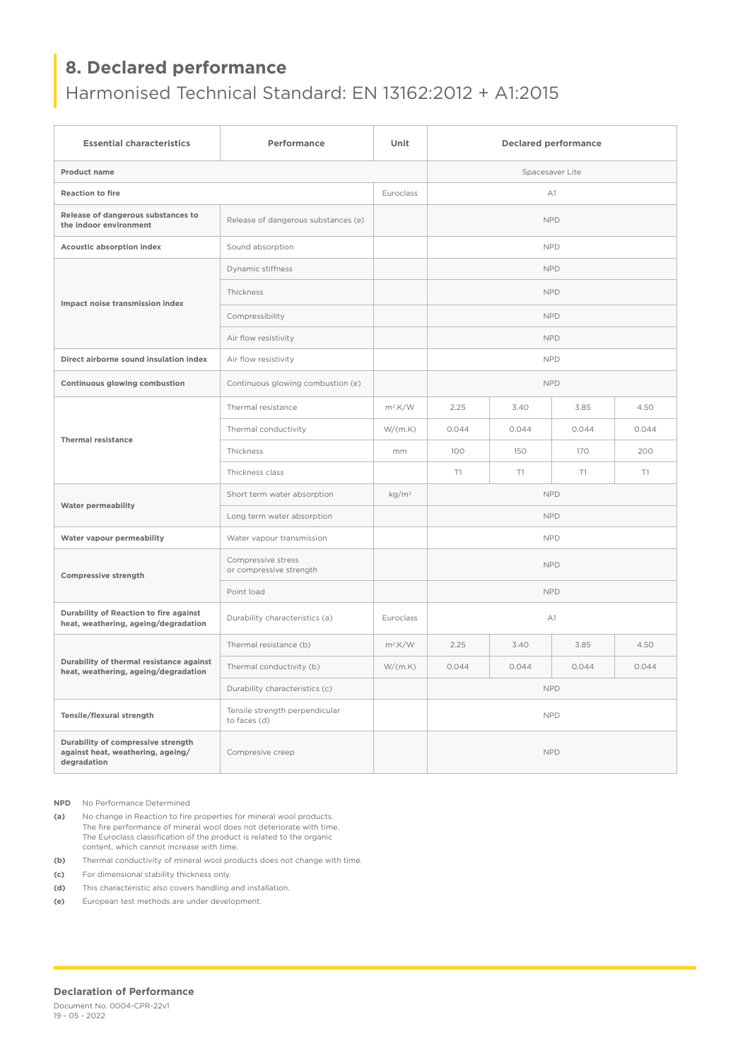# **8. Declared performance**

Harmonised Technical Standard: EN 13162:2012 + A1:2015

| <b>Essential characteristics</b>                                                       | Performance                                    | Unit              | <b>Declared performance</b> |       |       |       |  |  |  |
|----------------------------------------------------------------------------------------|------------------------------------------------|-------------------|-----------------------------|-------|-------|-------|--|--|--|
| Product name                                                                           |                                                |                   | Spacesaver Lite             |       |       |       |  |  |  |
| <b>Reaction to fire</b>                                                                |                                                |                   | A1                          |       |       |       |  |  |  |
| Release of dangerous substances to<br>the indoor environment                           | Release of dangerous substances (e)            |                   | <b>NPD</b>                  |       |       |       |  |  |  |
| Acoustic absorption index                                                              | Sound absorption                               |                   | <b>NPD</b>                  |       |       |       |  |  |  |
| Impact noise transmission index                                                        | Dynamic stiffness                              |                   | <b>NPD</b>                  |       |       |       |  |  |  |
|                                                                                        | Thickness                                      |                   | <b>NPD</b>                  |       |       |       |  |  |  |
|                                                                                        | Compressibility                                |                   | <b>NPD</b>                  |       |       |       |  |  |  |
|                                                                                        | Air flow resistivity                           |                   | <b>NPD</b>                  |       |       |       |  |  |  |
| Direct airborne sound insulation index                                                 | Air flow resistivity                           |                   | <b>NPD</b>                  |       |       |       |  |  |  |
| Continuous glowing combustion                                                          | Continuous glowing combustion (e)              |                   | <b>NPD</b>                  |       |       |       |  |  |  |
| <b>Thermal resistance</b>                                                              | Thermal resistance                             | $m^2$ .K/W        | 2.25                        | 3.40  | 3.85  | 4.50  |  |  |  |
|                                                                                        | Thermal conductivity                           | W/(m.K)           | 0.044                       | 0.044 | 0.044 | 0.044 |  |  |  |
|                                                                                        | Thickness                                      | mm                | 100                         | 150   | 170   | 200   |  |  |  |
|                                                                                        | Thickness class                                |                   | T1                          | T1    | T1    | T1    |  |  |  |
| <b>Water permeability</b>                                                              | Short term water absorption                    | kg/m <sup>2</sup> | <b>NPD</b>                  |       |       |       |  |  |  |
|                                                                                        | Long term water absorption                     |                   | <b>NPD</b>                  |       |       |       |  |  |  |
| Water vapour permeability                                                              | Water vapour transmission                      |                   | <b>NPD</b>                  |       |       |       |  |  |  |
| <b>Compressive strength</b>                                                            | Compressive stress<br>or compressive strength  |                   | <b>NPD</b>                  |       |       |       |  |  |  |
|                                                                                        | Point load                                     |                   | <b>NPD</b>                  |       |       |       |  |  |  |
| Durability of Reaction to fire against<br>heat, weathering, ageing/degradation         | Durability characteristics (a)                 | Euroclass         | A1                          |       |       |       |  |  |  |
| Durability of thermal resistance against<br>heat, weathering, ageing/degradation       | Thermal resistance (b)                         | $m2$ .K/W         | 2.25                        | 3.40  | 3.85  | 4.50  |  |  |  |
|                                                                                        | Thermal conductivity (b)                       | W/(m.K)           | 0.044                       | 0.044 | 0.044 | 0.044 |  |  |  |
|                                                                                        | Durability characteristics (c)                 |                   | <b>NPD</b>                  |       |       |       |  |  |  |
| Tensile/flexural strength                                                              | Tensile strength perpendicular<br>to faces (d) |                   | <b>NPD</b>                  |       |       |       |  |  |  |
| Durability of compressive strength<br>against heat, weathering, ageing/<br>degradation | Compresive creep                               |                   | <b>NPD</b>                  |       |       |       |  |  |  |

**NPD** No Performance Determined

**(a)** No change in Reaction to fire properties for mineral wool products. The fire performance of mineral wool does not deteriorate with time. The Euroclass classification of the product is related to the organic content, which cannot increase with time.

**(b)** Thermal conductivity of mineral wool products does not change with time.

**(c)** For dimensional stability thickness only.

**(d)** This characteristic also covers handling and installation.

**(e)** European test methods are under development.

#### **Declaration of Performance**

Document No. 0004-CPR-22v1 19 - 05 - 2022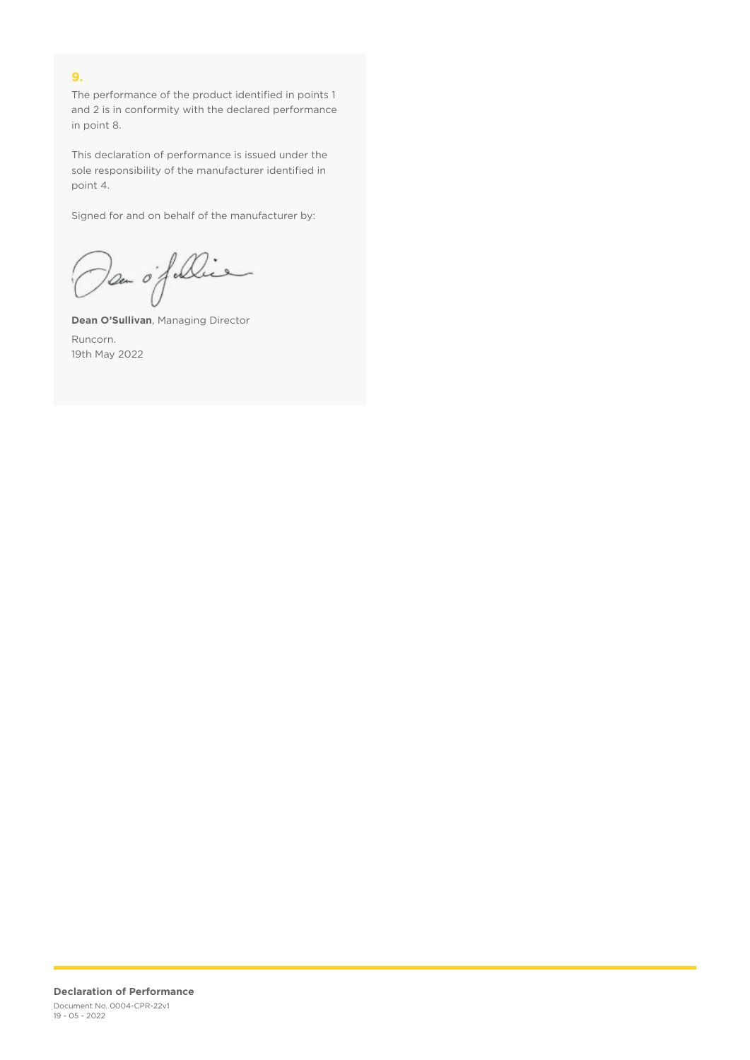## **9.**

The performance of the product identified in points 1 and 2 is in conformity with the declared performance in point 8.

This declaration of performance is issued under the sole responsibility of the manufacturer identified in point 4.

Signed for and on behalf of the manufacturer by:

Dan of Die

**Dean O'Sullivan**, Managing Director Runcorn. 19th May 2022